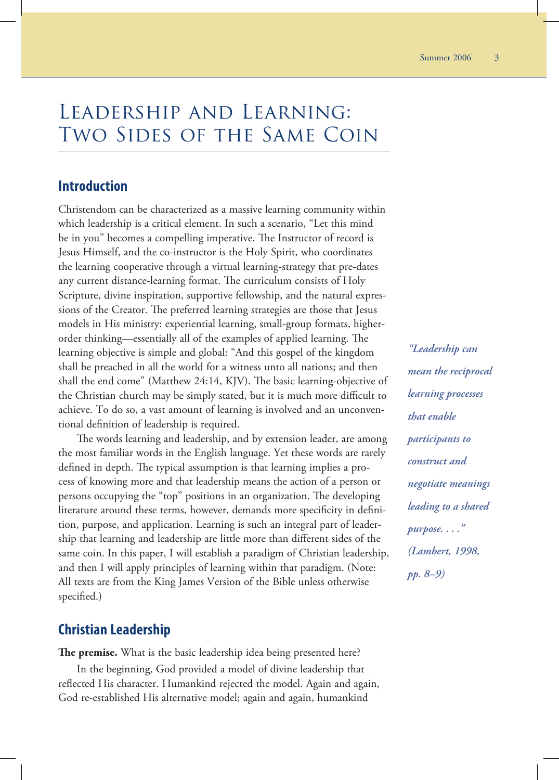# Leadership and Learning: Two Sides of the Same Coin

## **Introduction**

Christendom can be characterized as a massive learning community within which leadership is a critical element. In such a scenario, "Let this mind be in you" becomes a compelling imperative. The Instructor of record is Jesus Himself, and the co-instructor is the Holy Spirit, who coordinates the learning cooperative through a virtual learning-strategy that pre-dates any current distance-learning format. The curriculum consists of Holy Scripture, divine inspiration, supportive fellowship, and the natural expressions of the Creator. The preferred learning strategies are those that Jesus models in His ministry: experiential learning, small-group formats, higherorder thinking—essentially all of the examples of applied learning. The learning objective is simple and global: "And this gospel of the kingdom shall be preached in all the world for a witness unto all nations; and then shall the end come" (Matthew 24:14, KJV). The basic learning-objective of the Christian church may be simply stated, but it is much more difficult to achieve. To do so, a vast amount of learning is involved and an unconventional definition of leadership is required.

The words learning and leadership, and by extension leader, are among the most familiar words in the English language. Yet these words are rarely defined in depth. The typical assumption is that learning implies a process of knowing more and that leadership means the action of a person or persons occupying the "top" positions in an organization. The developing literature around these terms, however, demands more specificity in definition, purpose, and application. Learning is such an integral part of leadership that learning and leadership are little more than different sides of the same coin. In this paper, I will establish a paradigm of Christian leadership, and then I will apply principles of learning within that paradigm. (Note: All texts are from the King James Version of the Bible unless otherwise specified.)

# **Christian Leadership**

**The premise.** What is the basic leadership idea being presented here?

In the beginning, God provided a model of divine leadership that reflected His character. Humankind rejected the model. Again and again, God re-established His alternative model; again and again, humankind

*"Leadership can mean the reciprocal learning processes that enable participants to construct and negotiate meanings leading to a shared purpose. . . ." (Lambert, 1998, pp. 8–9)*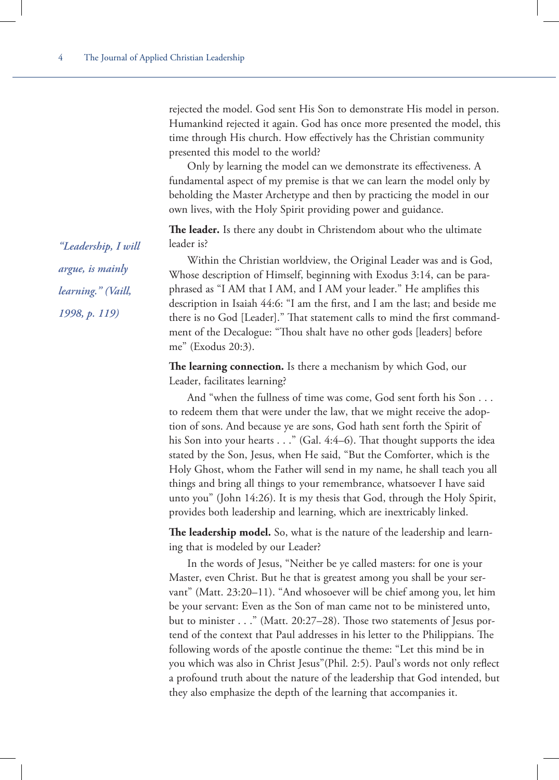rejected the model. God sent His Son to demonstrate His model in person. Humankind rejected it again. God has once more presented the model, this time through His church. How effectively has the Christian community presented this model to the world?

Only by learning the model can we demonstrate its effectiveness. A fundamental aspect of my premise is that we can learn the model only by beholding the Master Archetype and then by practicing the model in our own lives, with the Holy Spirit providing power and guidance.

**The leader.** Is there any doubt in Christendom about who the ultimate leader is?

Within the Christian worldview, the Original Leader was and is God, Whose description of Himself, beginning with Exodus 3:14, can be paraphrased as "I AM that I AM, and I AM your leader." He amplifies this description in Isaiah 44:6: "I am the first, and I am the last; and beside me there is no God [Leader]." That statement calls to mind the first commandment of the Decalogue: "Thou shalt have no other gods [leaders] before me" (Exodus 20:3).

**The learning connection.** Is there a mechanism by which God, our Leader, facilitates learning?

And "when the fullness of time was come, God sent forth his Son . . . to redeem them that were under the law, that we might receive the adoption of sons. And because ye are sons, God hath sent forth the Spirit of his Son into your hearts . . ." (Gal. 4:4-6). That thought supports the idea stated by the Son, Jesus, when He said, "But the Comforter, which is the Holy Ghost, whom the Father will send in my name, he shall teach you all things and bring all things to your remembrance, whatsoever I have said unto you" (John 14:26). It is my thesis that God, through the Holy Spirit, provides both leadership and learning, which are inextricably linked.

**The leadership model.** So, what is the nature of the leadership and learning that is modeled by our Leader?

In the words of Jesus, "Neither be ye called masters: for one is your Master, even Christ. But he that is greatest among you shall be your servant" (Matt. 23:20–11). "And whosoever will be chief among you, let him be your servant: Even as the Son of man came not to be ministered unto, but to minister . . ." (Matt. 20:27–28). Those two statements of Jesus portend of the context that Paul addresses in his letter to the Philippians. The following words of the apostle continue the theme: "Let this mind be in you which was also in Christ Jesus"(Phil. 2:5). Paul's words not only reflect a profound truth about the nature of the leadership that God intended, but they also emphasize the depth of the learning that accompanies it.

*"Leadership, I will argue, is mainly learning." (Vaill, 1998, p. 119)*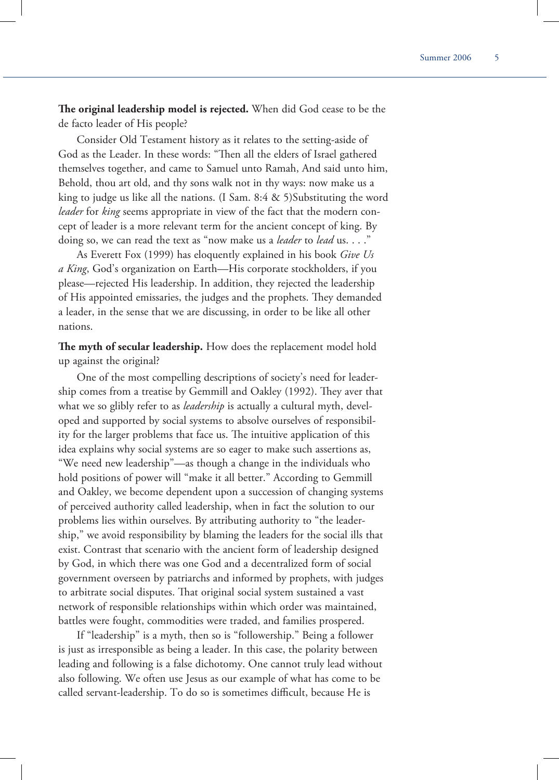The original leadership model is rejected. When did God cease to be the de facto leader of His people?

Consider Old Testament history as it relates to the setting-aside of God as the Leader. In these words: "Then all the elders of Israel gathered themselves together, and came to Samuel unto Ramah, And said unto him, Behold, thou art old, and thy sons walk not in thy ways: now make us a king to judge us like all the nations. (I Sam. 8:4 & 5)Substituting the word *leader* for *king* seems appropriate in view of the fact that the modern concept of leader is a more relevant term for the ancient concept of king. By doing so, we can read the text as "now make us a *leader* to *lead* us. . . ."

As Everett Fox (1999) has eloquently explained in his book *Give Us a King*, God's organization on Earth—His corporate stockholders, if you please—rejected His leadership. In addition, they rejected the leadership of His appointed emissaries, the judges and the prophets. They demanded a leader, in the sense that we are discussing, in order to be like all other nations.

The myth of secular leadership. How does the replacement model hold up against the original?

One of the most compelling descriptions of society's need for leadership comes from a treatise by Gemmill and Oakley (1992). They aver that what we so glibly refer to as *leadership* is actually a cultural myth, developed and supported by social systems to absolve ourselves of responsibility for the larger problems that face us. The intuitive application of this idea explains why social systems are so eager to make such assertions as, "We need new leadership"—as though a change in the individuals who hold positions of power will "make it all better." According to Gemmill and Oakley, we become dependent upon a succession of changing systems of perceived authority called leadership, when in fact the solution to our problems lies within ourselves. By attributing authority to "the leadership," we avoid responsibility by blaming the leaders for the social ills that exist. Contrast that scenario with the ancient form of leadership designed by God, in which there was one God and a decentralized form of social government overseen by patriarchs and informed by prophets, with judges to arbitrate social disputes. That original social system sustained a vast network of responsible relationships within which order was maintained, battles were fought, commodities were traded, and families prospered.

If "leadership" is a myth, then so is "followership." Being a follower is just as irresponsible as being a leader. In this case, the polarity between leading and following is a false dichotomy. One cannot truly lead without also following. We often use Jesus as our example of what has come to be called servant-leadership. To do so is sometimes difficult, because He is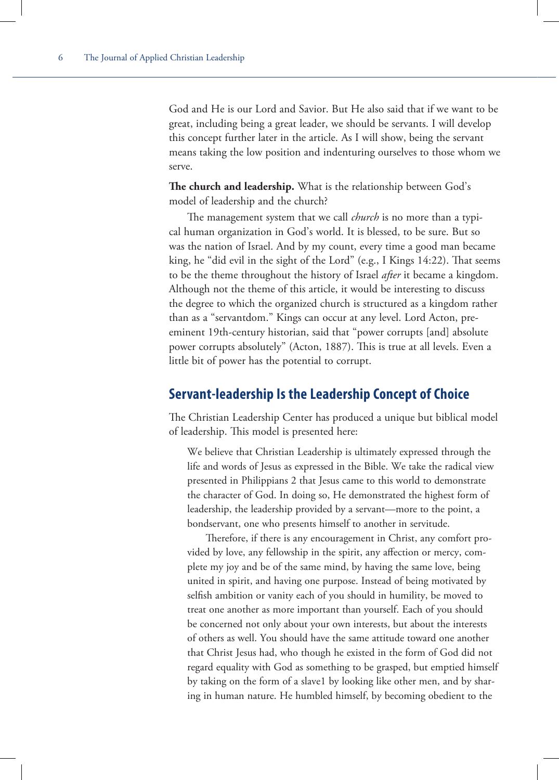God and He is our Lord and Savior. But He also said that if we want to be great, including being a great leader, we should be servants. I will develop this concept further later in the article. As I will show, being the servant means taking the low position and indenturing ourselves to those whom we serve.

The church and leadership. What is the relationship between God's model of leadership and the church?

The management system that we call *church* is no more than a typical human organization in God's world. It is blessed, to be sure. But so was the nation of Israel. And by my count, every time a good man became king, he "did evil in the sight of the Lord" (e.g., I Kings 14:22). That seems to be the theme throughout the history of Israel *after* it became a kingdom. Although not the theme of this article, it would be interesting to discuss the degree to which the organized church is structured as a kingdom rather than as a "servantdom." Kings can occur at any level. Lord Acton, preeminent 19th-century historian, said that "power corrupts [and] absolute power corrupts absolutely" (Acton, 1887). This is true at all levels. Even a little bit of power has the potential to corrupt.

## **Servant-leadership Is the Leadership Concept of Choice**

The Christian Leadership Center has produced a unique but biblical model of leadership. This model is presented here:

We believe that Christian Leadership is ultimately expressed through the life and words of Jesus as expressed in the Bible. We take the radical view presented in Philippians 2 that Jesus came to this world to demonstrate the character of God. In doing so, He demonstrated the highest form of leadership, the leadership provided by a servant—more to the point, a bondservant, one who presents himself to another in servitude.

Therefore, if there is any encouragement in Christ, any comfort provided by love, any fellowship in the spirit, any affection or mercy, complete my joy and be of the same mind, by having the same love, being united in spirit, and having one purpose. Instead of being motivated by selfish ambition or vanity each of you should in humility, be moved to treat one another as more important than yourself. Each of you should be concerned not only about your own interests, but about the interests of others as well. You should have the same attitude toward one another that Christ Jesus had, who though he existed in the form of God did not regard equality with God as something to be grasped, but emptied himself by taking on the form of a slave1 by looking like other men, and by sharing in human nature. He humbled himself, by becoming obedient to the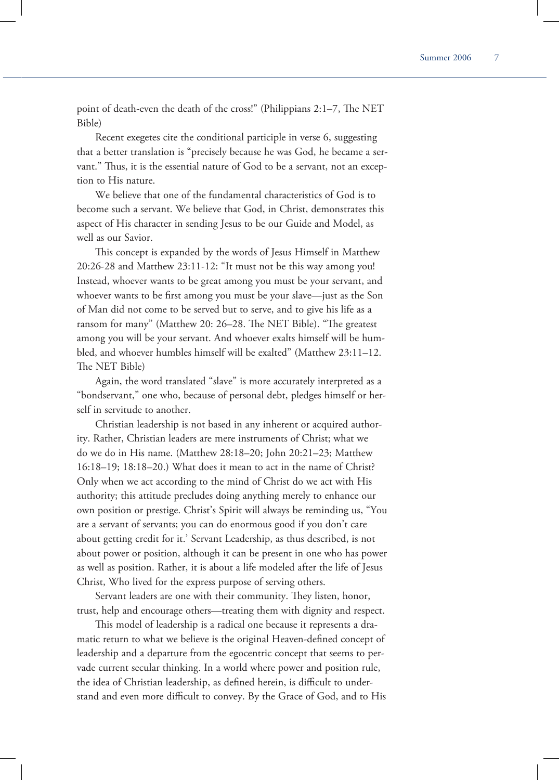point of death-even the death of the cross!" (Philippians 2:1-7, The NET Bible)

Recent exegetes cite the conditional participle in verse 6, suggesting that a better translation is "precisely because he was God, he became a servant." Thus, it is the essential nature of God to be a servant, not an exception to His nature.

We believe that one of the fundamental characteristics of God is to become such a servant. We believe that God, in Christ, demonstrates this aspect of His character in sending Jesus to be our Guide and Model, as well as our Savior.

This concept is expanded by the words of Jesus Himself in Matthew 20:26-28 and Matthew 23:11-12: "It must not be this way among you! Instead, whoever wants to be great among you must be your servant, and whoever wants to be first among you must be your slave—just as the Son of Man did not come to be served but to serve, and to give his life as a ransom for many" (Matthew 20: 26–28. The NET Bible). "The greatest among you will be your servant. And whoever exalts himself will be humbled, and whoever humbles himself will be exalted" (Matthew 23:11–12. The NET Bible)

Again, the word translated "slave" is more accurately interpreted as a "bondservant," one who, because of personal debt, pledges himself or herself in servitude to another.

Christian leadership is not based in any inherent or acquired authority. Rather, Christian leaders are mere instruments of Christ; what we do we do in His name. (Matthew 28:18–20; John 20:21–23; Matthew 16:18–19; 18:18–20.) What does it mean to act in the name of Christ? Only when we act according to the mind of Christ do we act with His authority; this attitude precludes doing anything merely to enhance our own position or prestige. Christ's Spirit will always be reminding us, "You are a servant of servants; you can do enormous good if you don't care about getting credit for it.' Servant Leadership, as thus described, is not about power or position, although it can be present in one who has power as well as position. Rather, it is about a life modeled after the life of Jesus Christ, Who lived for the express purpose of serving others.

Servant leaders are one with their community. They listen, honor, trust, help and encourage others—treating them with dignity and respect.

This model of leadership is a radical one because it represents a dramatic return to what we believe is the original Heaven-defined concept of leadership and a departure from the egocentric concept that seems to pervade current secular thinking. In a world where power and position rule, the idea of Christian leadership, as defined herein, is difficult to understand and even more difficult to convey. By the Grace of God, and to His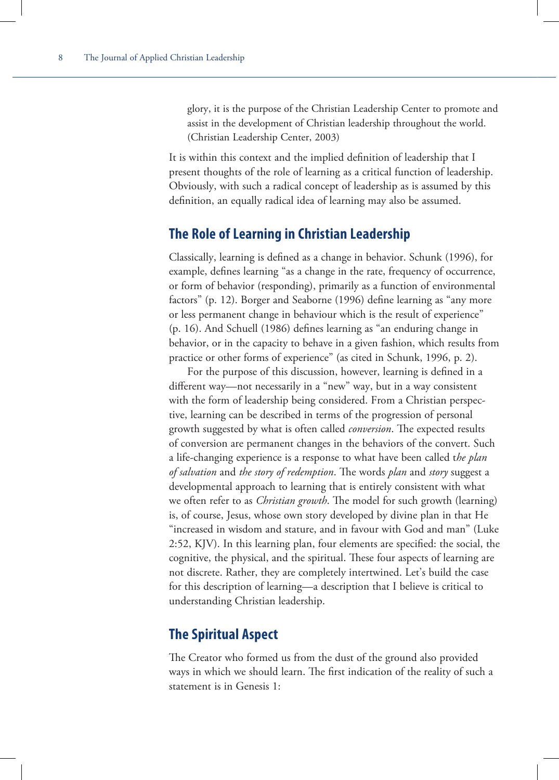glory, it is the purpose of the Christian Leadership Center to promote and assist in the development of Christian leadership throughout the world. (Christian Leadership Center, 2003)

It is within this context and the implied definition of leadership that I present thoughts of the role of learning as a critical function of leadership. Obviously, with such a radical concept of leadership as is assumed by this definition, an equally radical idea of learning may also be assumed.

# **The Role of Learning in Christian Leadership**

Classically, learning is defined as a change in behavior. Schunk (1996), for example, defines learning "as a change in the rate, frequency of occurrence, or form of behavior (responding), primarily as a function of environmental factors" (p. 12). Borger and Seaborne (1996) define learning as "any more or less permanent change in behaviour which is the result of experience"  $(p. 16)$ . And Schuell (1986) defines learning as "an enduring change in behavior, or in the capacity to behave in a given fashion, which results from practice or other forms of experience" (as cited in Schunk, 1996, p. 2).

For the purpose of this discussion, however, learning is defined in a different way—not necessarily in a "new" way, but in a way consistent with the form of leadership being considered. From a Christian perspective, learning can be described in terms of the progression of personal growth suggested by what is often called *conversion*. The expected results of conversion are permanent changes in the behaviors of the convert. Such a life-changing experience is a response to what have been called t*he plan of salvation* and *the story of redemption*. The words *plan* and *story* suggest a developmental approach to learning that is entirely consistent with what we often refer to as *Christian growth*. The model for such growth (learning) is, of course, Jesus, whose own story developed by divine plan in that He "increased in wisdom and stature, and in favour with God and man" (Luke  $2:52$ , KJV). In this learning plan, four elements are specified: the social, the cognitive, the physical, and the spiritual. These four aspects of learning are not discrete. Rather, they are completely intertwined. Let's build the case for this description of learning—a description that I believe is critical to understanding Christian leadership.

# **The Spiritual Aspect**

The Creator who formed us from the dust of the ground also provided ways in which we should learn. The first indication of the reality of such a statement is in Genesis 1: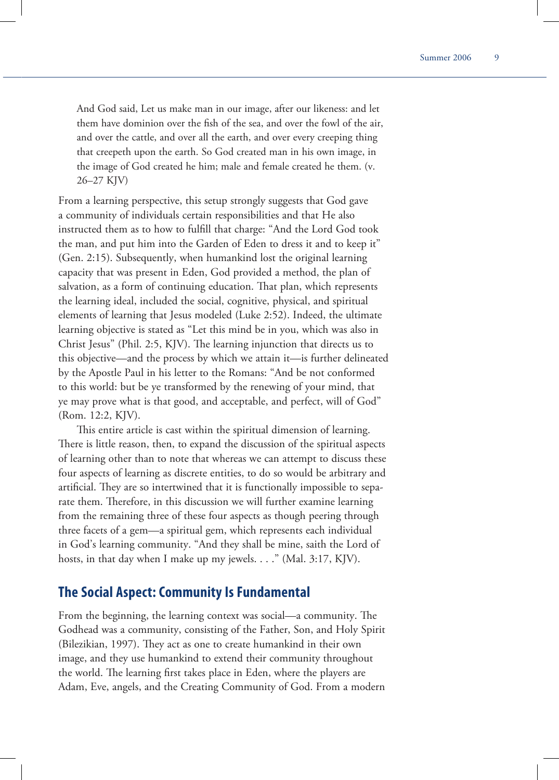And God said, Let us make man in our image, after our likeness: and let them have dominion over the fish of the sea, and over the fowl of the air, and over the cattle, and over all the earth, and over every creeping thing that creepeth upon the earth. So God created man in his own image, in the image of God created he him; male and female created he them. (v. 26–27 KJV)

From a learning perspective, this setup strongly suggests that God gave a community of individuals certain responsibilities and that He also instructed them as to how to fulfill that charge: "And the Lord God took the man, and put him into the Garden of Eden to dress it and to keep it" (Gen. 2:15). Subsequently, when humankind lost the original learning capacity that was present in Eden, God provided a method, the plan of salvation, as a form of continuing education. That plan, which represents the learning ideal, included the social, cognitive, physical, and spiritual elements of learning that Jesus modeled (Luke 2:52). Indeed, the ultimate learning objective is stated as "Let this mind be in you, which was also in Christ Jesus" (Phil. 2:5, KJV). The learning injunction that directs us to this objective—and the process by which we attain it—is further delineated by the Apostle Paul in his letter to the Romans: "And be not conformed to this world: but be ye transformed by the renewing of your mind, that ye may prove what is that good, and acceptable, and perfect, will of God" (Rom. 12:2, KJV).

This entire article is cast within the spiritual dimension of learning. There is little reason, then, to expand the discussion of the spiritual aspects of learning other than to note that whereas we can attempt to discuss these four aspects of learning as discrete entities, to do so would be arbitrary and artificial. They are so intertwined that it is functionally impossible to separate them. Therefore, in this discussion we will further examine learning from the remaining three of these four aspects as though peering through three facets of a gem—a spiritual gem, which represents each individual in God's learning community. "And they shall be mine, saith the Lord of hosts, in that day when I make up my jewels. . . ." (Mal. 3:17, KJV).

#### **The Social Aspect: Community Is Fundamental**

From the beginning, the learning context was social—a community. The Godhead was a community, consisting of the Father, Son, and Holy Spirit (Bilezikian, 1997). They act as one to create humankind in their own image, and they use humankind to extend their community throughout the world. The learning first takes place in Eden, where the players are Adam, Eve, angels, and the Creating Community of God. From a modern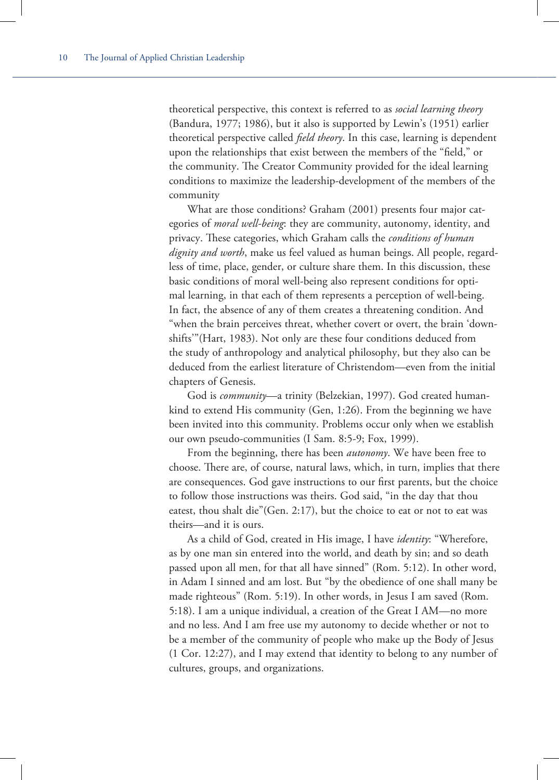theoretical perspective, this context is referred to as *social learning theory* (Bandura, 1977; 1986), but it also is supported by Lewin's (1951) earlier theoretical perspective called *field theory*. In this case, learning is dependent upon the relationships that exist between the members of the "field," or the community. The Creator Community provided for the ideal learning conditions to maximize the leadership-development of the members of the community

What are those conditions? Graham (2001) presents four major categories of *moral well-being*: they are community, autonomy, identity, and privacy. These categories, which Graham calls the *conditions of human dignity and worth*, make us feel valued as human beings. All people, regardless of time, place, gender, or culture share them. In this discussion, these basic conditions of moral well-being also represent conditions for optimal learning, in that each of them represents a perception of well-being. In fact, the absence of any of them creates a threatening condition. And "when the brain perceives threat, whether covert or overt, the brain 'downshifts'"(Hart, 1983). Not only are these four conditions deduced from the study of anthropology and analytical philosophy, but they also can be deduced from the earliest literature of Christendom—even from the initial chapters of Genesis.

God is *community*—a trinity (Belzekian, 1997). God created humankind to extend His community (Gen, 1:26). From the beginning we have been invited into this community. Problems occur only when we establish our own pseudo-communities (I Sam. 8:5-9; Fox, 1999).

From the beginning, there has been *autonomy*. We have been free to choose. There are, of course, natural laws, which, in turn, implies that there are consequences. God gave instructions to our first parents, but the choice to follow those instructions was theirs. God said, "in the day that thou eatest, thou shalt die"(Gen. 2:17), but the choice to eat or not to eat was theirs—and it is ours.

As a child of God, created in His image, I have *identity*: "Wherefore, as by one man sin entered into the world, and death by sin; and so death passed upon all men, for that all have sinned" (Rom. 5:12). In other word, in Adam I sinned and am lost. But "by the obedience of one shall many be made righteous" (Rom. 5:19). In other words, in Jesus I am saved (Rom. 5:18). I am a unique individual, a creation of the Great I AM—no more and no less. And I am free use my autonomy to decide whether or not to be a member of the community of people who make up the Body of Jesus (1 Cor. 12:27), and I may extend that identity to belong to any number of cultures, groups, and organizations.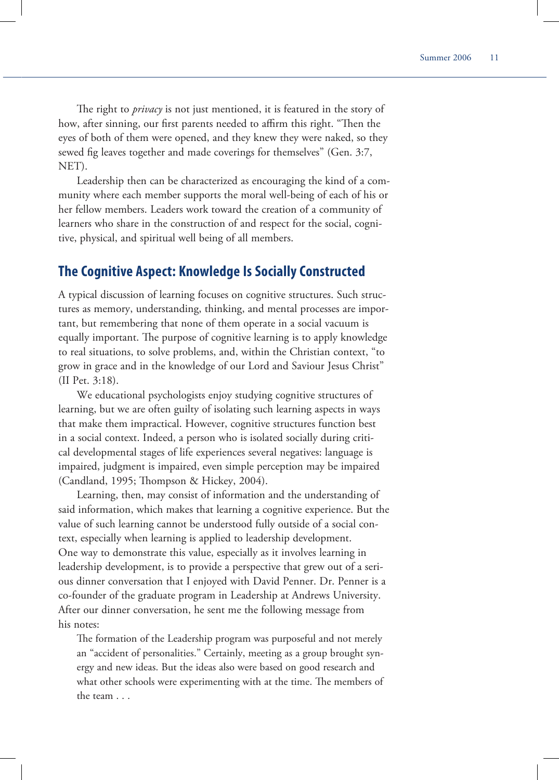The right to *privacy* is not just mentioned, it is featured in the story of how, after sinning, our first parents needed to affirm this right. "Then the eyes of both of them were opened, and they knew they were naked, so they sewed fig leaves together and made coverings for themselves" (Gen. 3:7, NET).

Leadership then can be characterized as encouraging the kind of a community where each member supports the moral well-being of each of his or her fellow members. Leaders work toward the creation of a community of learners who share in the construction of and respect for the social, cognitive, physical, and spiritual well being of all members.

#### **The Cognitive Aspect: Knowledge Is Socially Constructed**

A typical discussion of learning focuses on cognitive structures. Such structures as memory, understanding, thinking, and mental processes are important, but remembering that none of them operate in a social vacuum is equally important. The purpose of cognitive learning is to apply knowledge to real situations, to solve problems, and, within the Christian context, "to grow in grace and in the knowledge of our Lord and Saviour Jesus Christ" (II Pet. 3:18).

We educational psychologists enjoy studying cognitive structures of learning, but we are often guilty of isolating such learning aspects in ways that make them impractical. However, cognitive structures function best in a social context. Indeed, a person who is isolated socially during critical developmental stages of life experiences several negatives: language is impaired, judgment is impaired, even simple perception may be impaired (Candland, 1995; Thompson & Hickey, 2004).

Learning, then, may consist of information and the understanding of said information, which makes that learning a cognitive experience. But the value of such learning cannot be understood fully outside of a social context, especially when learning is applied to leadership development. One way to demonstrate this value, especially as it involves learning in leadership development, is to provide a perspective that grew out of a serious dinner conversation that I enjoyed with David Penner. Dr. Penner is a co-founder of the graduate program in Leadership at Andrews University. After our dinner conversation, he sent me the following message from his notes:

The formation of the Leadership program was purposeful and not merely an "accident of personalities." Certainly, meeting as a group brought synergy and new ideas. But the ideas also were based on good research and what other schools were experimenting with at the time. The members of the team . . .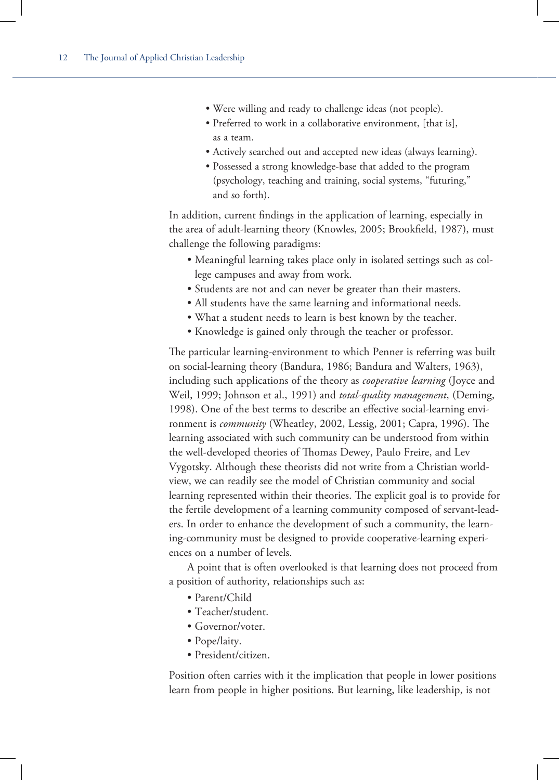- Were willing and ready to challenge ideas (not people).
- Preferred to work in a collaborative environment, [that is], as a team.
- Actively searched out and accepted new ideas (always learning).
- Possessed a strong knowledge-base that added to the program (psychology, teaching and training, social systems, "futuring," and so forth).

In addition, current findings in the application of learning, especially in the area of adult-learning theory (Knowles, 2005; Brookfield, 1987), must challenge the following paradigms:

- Meaningful learning takes place only in isolated settings such as college campuses and away from work.
- Students are not and can never be greater than their masters.
- All students have the same learning and informational needs.
- What a student needs to learn is best known by the teacher.
- Knowledge is gained only through the teacher or professor.

The particular learning-environment to which Penner is referring was built on social-learning theory (Bandura, 1986; Bandura and Walters, 1963), including such applications of the theory as *cooperative learning* (Joyce and Weil, 1999; Johnson et al., 1991) and *total-quality management*, (Deming, 1998). One of the best terms to describe an effective social-learning environment is *community* (Wheatley, 2002, Lessig, 2001; Capra, 1996). The learning associated with such community can be understood from within the well-developed theories of Thomas Dewey, Paulo Freire, and Lev Vygotsky. Although these theorists did not write from a Christian worldview, we can readily see the model of Christian community and social learning represented within their theories. The explicit goal is to provide for the fertile development of a learning community composed of servant-leaders. In order to enhance the development of such a community, the learning-community must be designed to provide cooperative-learning experiences on a number of levels.

A point that is often overlooked is that learning does not proceed from a position of authority, relationships such as:

- Parent/Child
- Teacher/student.
- Governor/voter.
- Pope/laity.
- President/citizen.

Position often carries with it the implication that people in lower positions learn from people in higher positions. But learning, like leadership, is not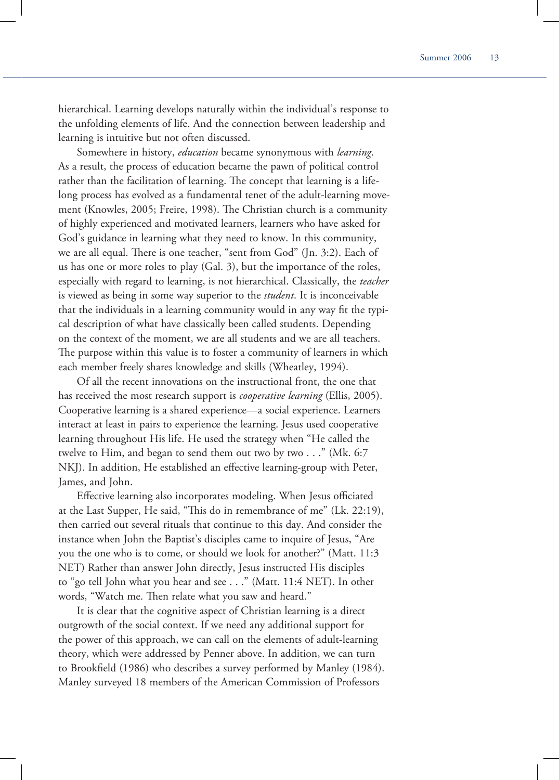hierarchical. Learning develops naturally within the individual's response to the unfolding elements of life. And the connection between leadership and learning is intuitive but not often discussed.

Somewhere in history, *education* became synonymous with *learning*. As a result, the process of education became the pawn of political control rather than the facilitation of learning. The concept that learning is a lifelong process has evolved as a fundamental tenet of the adult-learning movement (Knowles, 2005; Freire, 1998). The Christian church is a community of highly experienced and motivated learners, learners who have asked for God's guidance in learning what they need to know. In this community, we are all equal. There is one teacher, "sent from God" (Jn. 3:2). Each of us has one or more roles to play (Gal. 3), but the importance of the roles, especially with regard to learning, is not hierarchical. Classically, the *teacher* is viewed as being in some way superior to the *student*. It is inconceivable that the individuals in a learning community would in any way fit the typical description of what have classically been called students. Depending on the context of the moment, we are all students and we are all teachers. The purpose within this value is to foster a community of learners in which each member freely shares knowledge and skills (Wheatley, 1994).

Of all the recent innovations on the instructional front, the one that has received the most research support is *cooperative learning* (Ellis, 2005). Cooperative learning is a shared experience—a social experience. Learners interact at least in pairs to experience the learning. Jesus used cooperative learning throughout His life. He used the strategy when "He called the twelve to Him, and began to send them out two by two . . ." (Mk. 6:7 NKJ). In addition, He established an effective learning-group with Peter, James, and John.

Effective learning also incorporates modeling. When Jesus officiated at the Last Supper, He said, "This do in remembrance of me" (Lk. 22:19), then carried out several rituals that continue to this day. And consider the instance when John the Baptist's disciples came to inquire of Jesus, "Are you the one who is to come, or should we look for another?" (Matt. 11:3 NET) Rather than answer John directly, Jesus instructed His disciples to "go tell John what you hear and see . . ." (Matt. 11:4 NET). In other words, "Watch me. Then relate what you saw and heard."

It is clear that the cognitive aspect of Christian learning is a direct outgrowth of the social context. If we need any additional support for the power of this approach, we can call on the elements of adult-learning theory, which were addressed by Penner above. In addition, we can turn to Brookfield (1986) who describes a survey performed by Manley (1984). Manley surveyed 18 members of the American Commission of Professors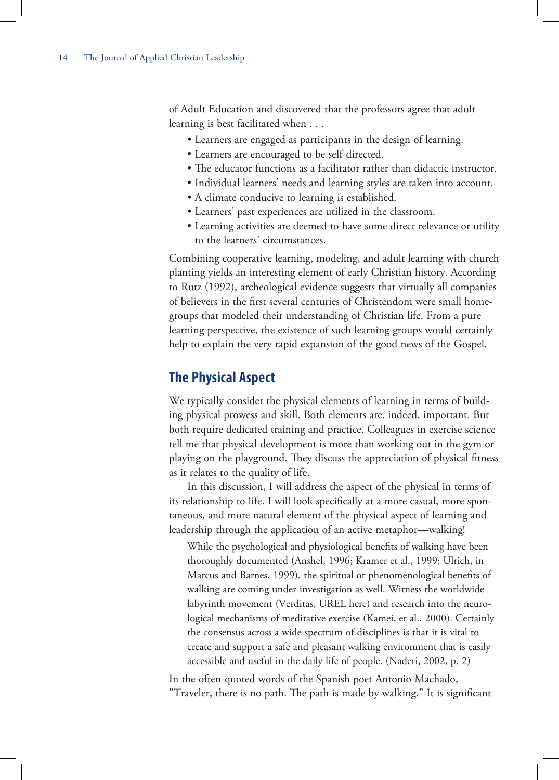of Adult Education and discovered that the professors agree that adult learning is best facilitated when . . .

- Learners are engaged as participants in the design of learning.
- Learners are encouraged to be self-directed.
- The educator functions as a facilitator rather than didactic instructor.
- Individual learners' needs and learning styles are taken into account.
- A climate conducive to learning is established.
- Learners' past experiences are utilized in the classroom.
- Learning activities are deemed to have some direct relevance or utility to the learners' circumstances.

Combining cooperative learning, modeling, and adult learning with church planting yields an interesting element of early Christian history. According to Rutz (1992), archeological evidence suggests that virtually all companies of believers in the first several centuries of Christendom were small homegroups that modeled their understanding of Christian life. From a pure learning perspective, the existence of such learning groups would certainly help to explain the very rapid expansion of the good news of the Gospel.

#### **The Physical Aspect**

We typically consider the physical elements of learning in terms of building physical prowess and skill. Both elements are, indeed, important. But both require dedicated training and practice. Colleagues in exercise science tell me that physical development is more than working out in the gym or playing on the playground. They discuss the appreciation of physical fitness as it relates to the quality of life.

In this discussion, I will address the aspect of the physical in terms of its relationship to life. I will look specifically at a more casual, more spontaneous, and more natural element of the physical aspect of learning and leadership through the application of an active metaphor—walking!

While the psychological and physiological benefits of walking have been thoroughly documented (Anshel, 1996; Kramer et al., 1999; Ulrich, in Marcus and Barnes, 1999), the spiritual or phenomenological benefits of walking are coming under investigation as well. Witness the worldwide labyrinth movement (Verditas, UREL here) and research into the neurological mechanisms of meditative exercise (Kamei, et al., 2000). Certainly the consensus across a wide spectrum of disciplines is that it is vital to create and support a safe and pleasant walking environment that is easily accessible and useful in the daily life of people. (Naderi, 2002, p. 2)

In the often-quoted words of the Spanish poet Antonio Machado, "Traveler, there is no path. The path is made by walking." It is significant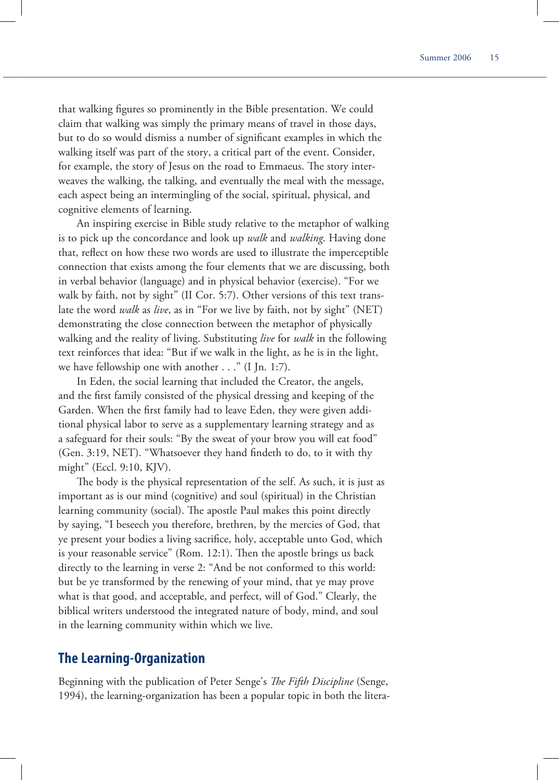that walking figures so prominently in the Bible presentation. We could claim that walking was simply the primary means of travel in those days, but to do so would dismiss a number of significant examples in which the walking itself was part of the story, a critical part of the event. Consider, for example, the story of Jesus on the road to Emmaeus. The story interweaves the walking, the talking, and eventually the meal with the message, each aspect being an intermingling of the social, spiritual, physical, and cognitive elements of learning.

An inspiring exercise in Bible study relative to the metaphor of walking is to pick up the concordance and look up *walk* and *walking*. Having done that, reflect on how these two words are used to illustrate the imperceptible connection that exists among the four elements that we are discussing, both in verbal behavior (language) and in physical behavior (exercise). "For we walk by faith, not by sight" (II Cor. 5:7). Other versions of this text translate the word *walk* as *live*, as in "For we live by faith, not by sight" (NET) demonstrating the close connection between the metaphor of physically walking and the reality of living. Substituting *live* for *walk* in the following text reinforces that idea: "But if we walk in the light, as he is in the light, we have fellowship one with another . . ." (I Jn. 1:7).

In Eden, the social learning that included the Creator, the angels, and the first family consisted of the physical dressing and keeping of the Garden. When the first family had to leave Eden, they were given additional physical labor to serve as a supplementary learning strategy and as a safeguard for their souls: "By the sweat of your brow you will eat food" (Gen. 3:19, NET). "Whatsoever they hand findeth to do, to it with thy might" (Eccl. 9:10, KJV).

The body is the physical representation of the self. As such, it is just as important as is our mind (cognitive) and soul (spiritual) in the Christian learning community (social). The apostle Paul makes this point directly by saying, "I beseech you therefore, brethren, by the mercies of God, that ye present your bodies a living sacrifice, holy, acceptable unto God, which is your reasonable service" (Rom. 12:1). Then the apostle brings us back directly to the learning in verse 2: "And be not conformed to this world: but be ye transformed by the renewing of your mind, that ye may prove what is that good, and acceptable, and perfect, will of God." Clearly, the biblical writers understood the integrated nature of body, mind, and soul in the learning community within which we live.

#### **The Learning-Organization**

Beginning with the publication of Peter Senge's *The Fifth Discipline* (Senge, 1994), the learning-organization has been a popular topic in both the litera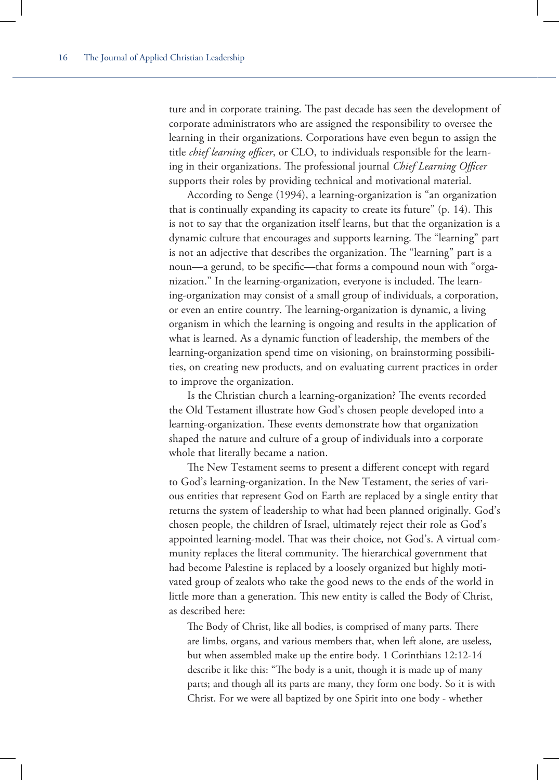ture and in corporate training. The past decade has seen the development of corporate administrators who are assigned the responsibility to oversee the learning in their organizations. Corporations have even begun to assign the title *chief learning officer*, or CLO, to individuals responsible for the learning in their organizations. The professional journal *Chief Learning Officer* supports their roles by providing technical and motivational material.

According to Senge (1994), a learning-organization is "an organization that is continually expanding its capacity to create its future"  $(p. 14)$ . This is not to say that the organization itself learns, but that the organization is a dynamic culture that encourages and supports learning. The "learning" part is not an adjective that describes the organization. The "learning" part is a noun—a gerund, to be specific—that forms a compound noun with "organization." In the learning-organization, everyone is included. The learning-organization may consist of a small group of individuals, a corporation, or even an entire country. The learning-organization is dynamic, a living organism in which the learning is ongoing and results in the application of what is learned. As a dynamic function of leadership, the members of the learning-organization spend time on visioning, on brainstorming possibilities, on creating new products, and on evaluating current practices in order to improve the organization.

Is the Christian church a learning-organization? The events recorded the Old Testament illustrate how God's chosen people developed into a learning-organization. These events demonstrate how that organization shaped the nature and culture of a group of individuals into a corporate whole that literally became a nation.

The New Testament seems to present a different concept with regard to God's learning-organization. In the New Testament, the series of various entities that represent God on Earth are replaced by a single entity that returns the system of leadership to what had been planned originally. God's chosen people, the children of Israel, ultimately reject their role as God's appointed learning-model. That was their choice, not God's. A virtual community replaces the literal community. The hierarchical government that had become Palestine is replaced by a loosely organized but highly motivated group of zealots who take the good news to the ends of the world in little more than a generation. This new entity is called the Body of Christ, as described here:

The Body of Christ, like all bodies, is comprised of many parts. There are limbs, organs, and various members that, when left alone, are useless, but when assembled make up the entire body. 1 Corinthians 12:12-14 describe it like this: "The body is a unit, though it is made up of many parts; and though all its parts are many, they form one body. So it is with Christ. For we were all baptized by one Spirit into one body - whether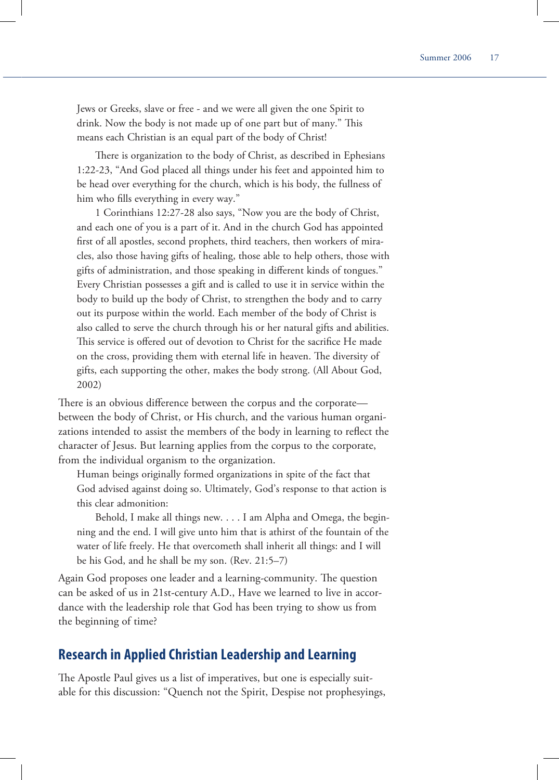Jews or Greeks, slave or free - and we were all given the one Spirit to drink. Now the body is not made up of one part but of many." This means each Christian is an equal part of the body of Christ!

There is organization to the body of Christ, as described in Ephesians 1:22-23, "And God placed all things under his feet and appointed him to be head over everything for the church, which is his body, the fullness of him who fills everything in every way."

1 Corinthians 12:27-28 also says, "Now you are the body of Christ, and each one of you is a part of it. And in the church God has appointed first of all apostles, second prophets, third teachers, then workers of miracles, also those having gifts of healing, those able to help others, those with gifts of administration, and those speaking in different kinds of tongues." Every Christian possesses a gift and is called to use it in service within the body to build up the body of Christ, to strengthen the body and to carry out its purpose within the world. Each member of the body of Christ is also called to serve the church through his or her natural gifts and abilities. This service is offered out of devotion to Christ for the sacrifice He made on the cross, providing them with eternal life in heaven. The diversity of gifts, each supporting the other, makes the body strong. (All About God, 2002)

There is an obvious difference between the corpus and the corporate between the body of Christ, or His church, and the various human organizations intended to assist the members of the body in learning to reflect the character of Jesus. But learning applies from the corpus to the corporate, from the individual organism to the organization.

Human beings originally formed organizations in spite of the fact that God advised against doing so. Ultimately, God's response to that action is this clear admonition:

Behold, I make all things new. . . . I am Alpha and Omega, the beginning and the end. I will give unto him that is athirst of the fountain of the water of life freely. He that overcometh shall inherit all things: and I will be his God, and he shall be my son. (Rev. 21:5–7)

Again God proposes one leader and a learning-community. The question can be asked of us in 21st-century A.D., Have we learned to live in accordance with the leadership role that God has been trying to show us from the beginning of time?

## **Research in Applied Christian Leadership and Learning**

The Apostle Paul gives us a list of imperatives, but one is especially suitable for this discussion: "Quench not the Spirit, Despise not prophesyings,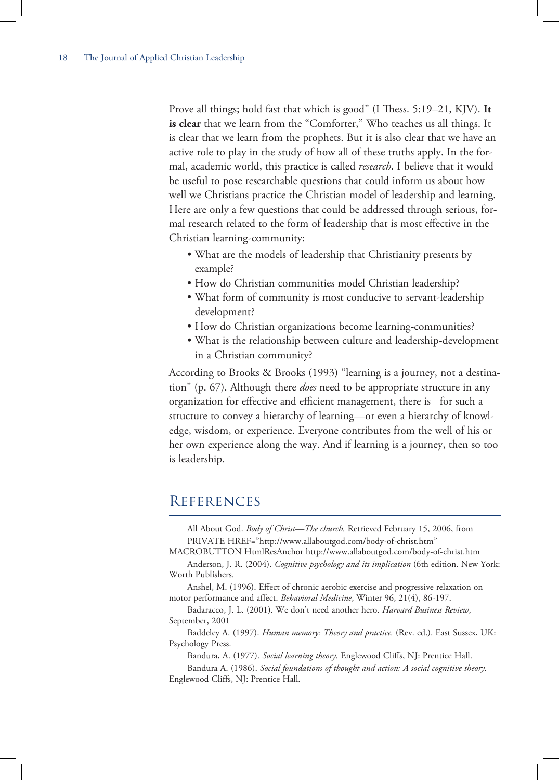Prove all things; hold fast that which is good" (I Thess. 5:19–21, KJV). It **is clear** that we learn from the "Comforter," Who teaches us all things. It is clear that we learn from the prophets. But it is also clear that we have an active role to play in the study of how all of these truths apply. In the formal, academic world, this practice is called *research*. I believe that it would be useful to pose researchable questions that could inform us about how well we Christians practice the Christian model of leadership and learning. Here are only a few questions that could be addressed through serious, formal research related to the form of leadership that is most effective in the Christian learning-community:

- What are the models of leadership that Christianity presents by example?
- How do Christian communities model Christian leadership?
- What form of community is most conducive to servant-leadership development?
- How do Christian organizations become learning-communities?
- What is the relationship between culture and leadership-development in a Christian community?

According to Brooks & Brooks (1993) "learning is a journey, not a destination" (p. 67). Although there *does* need to be appropriate structure in any organization for effective and efficient management, there is for such a structure to convey a hierarchy of learning—or even a hierarchy of knowledge, wisdom, or experience. Everyone contributes from the well of his or her own experience along the way. And if learning is a journey, then so too is leadership.

# **REFERENCES**

All About God. *Body of Christ—The church.* Retrieved February 15, 2006, from PRIVATE HREF="http://www.allaboutgod.com/body-of-christ.htm"

MACROBUTTON HtmlResAnchor http://www.allaboutgod.com/body-of-christ.htm

Anderson, J. R. (2004). *Cognitive psychology and its implication* (6th edition. New York: Worth Publishers.

Anshel, M. (1996). Effect of chronic aerobic exercise and progressive relaxation on motor performance and affect. *Behavioral Medicine*, Winter 96, 21(4), 86-197.

Badaracco, J. L. (2001). We don't need another hero. *Harvard Business Review*, September, 2001

Baddeley A. (1997). *Human memory: Theory and practice.* (Rev. ed.). East Sussex, UK: Psychology Press.

Bandura, A. (1977). *Social learning theory.* Englewood Cliffs, NJ: Prentice Hall.

Bandura A. (1986). *Social foundations of thought and action: A social cognitive theory.*  Englewood Cliffs, NJ: Prentice Hall.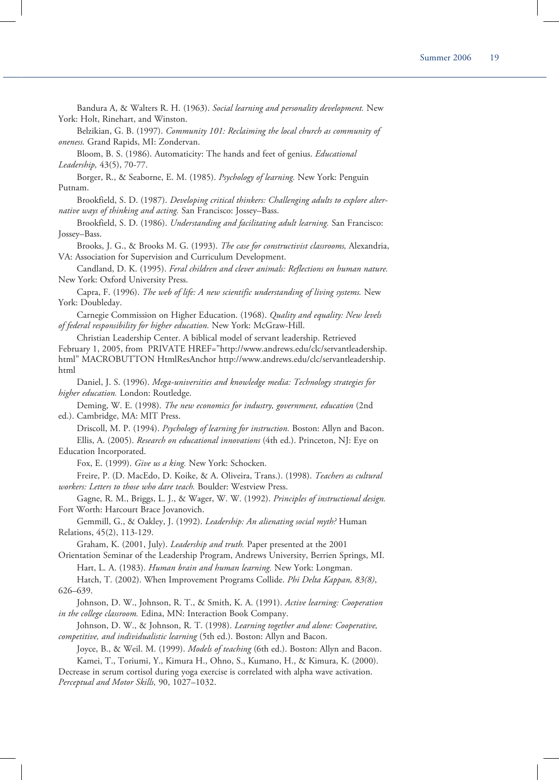Bandura A, & Walters R. H. (1963). *Social learning and personality development.* New York: Holt, Rinehart, and Winston.

Belzikian, G. B. (1997). *Community 101: Reclaiming the local church as community of oneness.* Grand Rapids, MI: Zondervan.

Bloom, B. S. (1986). Automaticity: The hands and feet of genius. *Educational Leadership,* 43(5), 70-77.

Borger, R., & Seaborne, E. M. (1985). *Psychology of learning.* New York: Penguin Putnam.

Brookfield, S. D. (1987). *Developing critical thinkers: Challenging adults to explore alternative ways of thinking and acting.* San Francisco: Jossey–Bass.

Brookfield, S. D. (1986). *Understanding and facilitating adult learning.* San Francisco: Jossey–Bass.

Brooks, J. G., & Brooks M. G. (1993). *The case for constructivist classrooms,* Alexandria, VA: Association for Supervision and Curriculum Development.

Candland, D. K. (1995). *Feral children and clever animals: Reflections on human nature.*  New York: Oxford University Press.

Capra, F. (1996). *The web of life: A new scientific understanding of living systems.* New York: Doubleday.

Carnegie Commission on Higher Education. (1968). *Quality and equality: New levels of federal responsibility for higher education.* New York: McGraw-Hill.

Christian Leadership Center. A biblical model of servant leadership. Retrieved February 1, 2005, from PRIVATE HREF="http://www.andrews.edu/clc/servantleadership. html" MACROBUTTON HtmlResAnchor http://www.andrews.edu/clc/servantleadership. html

Daniel, J. S. (1996). *Mega-universities and knowledge media: Technology strategies for higher education.* London: Routledge.

Deming, W. E. (1998). *The new economics for industry, government, education* (2nd ed.). Cambridge, MA: MIT Press.

Driscoll, M. P. (1994). *Psychology of learning for instruction.* Boston: Allyn and Bacon. Ellis, A. (2005). *Research on educational innovations* (4th ed.). Princeton, NJ: Eye on Education Incorporated.

Fox, E. (1999). *Give us a king.* New York: Schocken.

Freire, P. (D. MacEdo, D. Koike, & A. Oliveira, Trans.). (1998). *Teachers as cultural workers: Letters to those who dare teach.* Boulder: Westview Press.

Gagne, R. M., Briggs, L. J., & Wager, W. W. (1992). *Principles of instructional design.*  Fort Worth: Harcourt Brace Jovanovich.

Gemmill, G., & Oakley, J. (1992). *Leadership: An alienating social myth?* Human Relations, 45(2), 113-129.

Graham, K. (2001, July). *Leadership and truth.* Paper presented at the 2001

Orientation Seminar of the Leadership Program, Andrews University, Berrien Springs, MI. Hart, L. A. (1983). *Human brain and human learning.* New York: Longman.

Hatch, T. (2002). When Improvement Programs Collide. *Phi Delta Kappan, 83(8)*, 626–639.

Johnson, D. W., Johnson, R. T., & Smith, K. A. (1991). *Active learning: Cooperation in the college classroom.* Edina, MN: Interaction Book Company.

Johnson, D. W., & Johnson, R. T. (1998). *Learning together and alone: Cooperative, competitive, and individualistic learning* (5th ed.). Boston: Allyn and Bacon.

Joyce, B., & Weil. M. (1999). *Models of teaching* (6th ed.). Boston: Allyn and Bacon. Kamei, T., Toriumi, Y., Kimura H., Ohno, S., Kumano, H., & Kimura, K. (2000).

Decrease in serum cortisol during yoga exercise is correlated with alpha wave activation. *Perceptual and Motor Skills,* 90, 1027–1032.